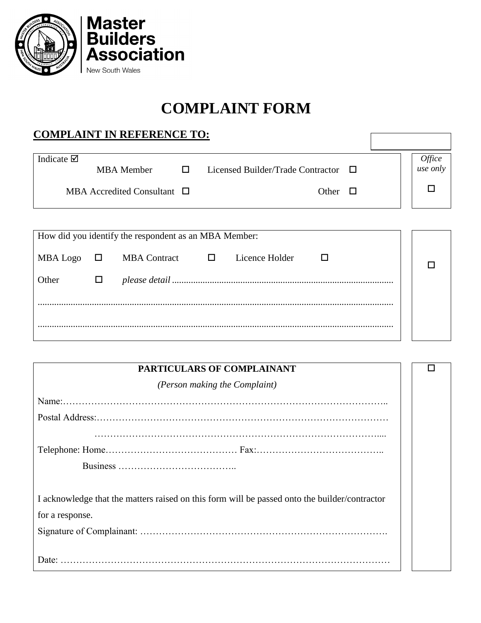

## **COMPLAINT FORM**

## **COMPLAINT IN REFERENCE TO:**

| Indicate $\boxtimes$                                  |        | <b>Service</b><br><b>MBA</b> Member |  |  | Licensed Builder/Trade Contractor $\Box$ |              |  | <i><b>Office</b></i><br>use only |
|-------------------------------------------------------|--------|-------------------------------------|--|--|------------------------------------------|--------------|--|----------------------------------|
|                                                       |        | MBA Accredited Consultant $\Box$    |  |  |                                          | Other $\Box$ |  |                                  |
|                                                       |        |                                     |  |  |                                          |              |  |                                  |
| How did you identify the respondent as an MBA Member: |        |                                     |  |  |                                          |              |  |                                  |
| MBA Logo                                              | $\Box$ | MBA Contract $\Box$                 |  |  | Licence Holder                           |              |  |                                  |
| Other                                                 | $\Box$ |                                     |  |  |                                          |              |  |                                  |
|                                                       |        |                                     |  |  |                                          |              |  |                                  |

.......................................................................................................................................................

| PARTICULARS OF COMPLAINANT                                                                    |  |  |  |  |
|-----------------------------------------------------------------------------------------------|--|--|--|--|
| (Person making the Complaint)                                                                 |  |  |  |  |
|                                                                                               |  |  |  |  |
|                                                                                               |  |  |  |  |
|                                                                                               |  |  |  |  |
|                                                                                               |  |  |  |  |
|                                                                                               |  |  |  |  |
|                                                                                               |  |  |  |  |
| I acknowledge that the matters raised on this form will be passed onto the builder/contractor |  |  |  |  |
| for a response.                                                                               |  |  |  |  |
|                                                                                               |  |  |  |  |
|                                                                                               |  |  |  |  |
|                                                                                               |  |  |  |  |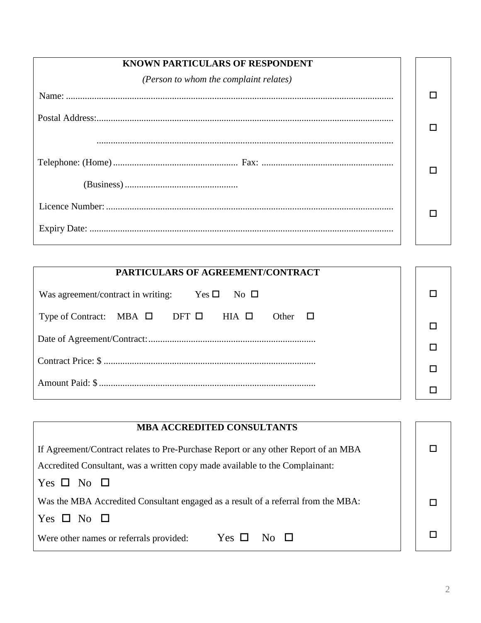| <b>KNOWN PARTICULARS OF RESPONDENT</b> |  |
|----------------------------------------|--|
| (Person to whom the complaint relates) |  |
|                                        |  |
|                                        |  |
|                                        |  |
|                                        |  |
|                                        |  |

| PARTICULARS OF AGREEMENT/CONTRACT                                           |  |
|-----------------------------------------------------------------------------|--|
| Was agreement/contract in writing: Yes $\square$ No $\square$               |  |
| Type of Contract: MBA $\square$ DFT $\square$ HIA $\square$<br>Other $\Box$ |  |
|                                                                             |  |
|                                                                             |  |
|                                                                             |  |
|                                                                             |  |

| <b>MBA ACCREDITED CONSULTANTS</b>                                                  |  |  |  |
|------------------------------------------------------------------------------------|--|--|--|
| If Agreement/Contract relates to Pre-Purchase Report or any other Report of an MBA |  |  |  |
| Accredited Consultant, was a written copy made available to the Complainant:       |  |  |  |
| Yes $\Box$ No $\Box$                                                               |  |  |  |
| Was the MBA Accredited Consultant engaged as a result of a referral from the MBA:  |  |  |  |
| Yes $\Box$ No $\Box$                                                               |  |  |  |
| Yes $\Box$<br>Were other names or referrals provided:<br>$N_{\Omega}$              |  |  |  |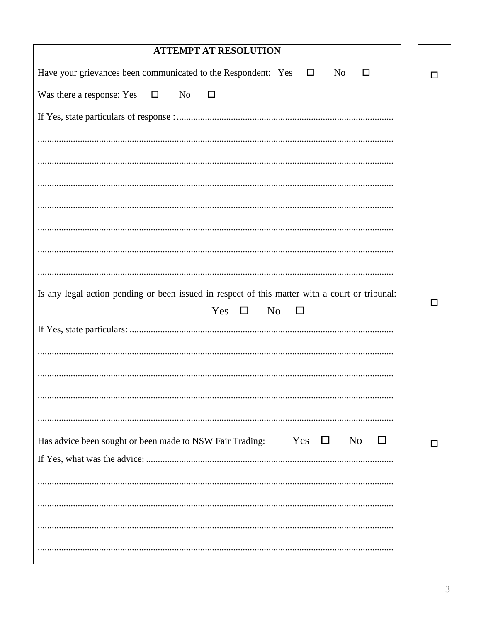| <b>ATTEMPT AT RESOLUTION</b>                                                                     |    |
|--------------------------------------------------------------------------------------------------|----|
| Have your grievances been communicated to the Respondent: Yes $\square$<br>No<br>□               |    |
| Was there a response: Yes<br>$\Box$<br>N <sub>0</sub><br>$\Box$                                  |    |
|                                                                                                  |    |
|                                                                                                  |    |
|                                                                                                  |    |
|                                                                                                  |    |
|                                                                                                  |    |
|                                                                                                  |    |
|                                                                                                  |    |
|                                                                                                  |    |
| Is any legal action pending or been issued in respect of this matter with a court or tribunal:   | ΙI |
| Yes $\Box$<br>N <sub>0</sub><br>□                                                                |    |
|                                                                                                  |    |
|                                                                                                  |    |
|                                                                                                  |    |
|                                                                                                  |    |
|                                                                                                  |    |
| Yes<br>N <sub>0</sub><br>Has advice been sought or been made to NSW Fair Trading:<br>$\Box$<br>H |    |
|                                                                                                  |    |
|                                                                                                  |    |
|                                                                                                  |    |
|                                                                                                  |    |
|                                                                                                  |    |